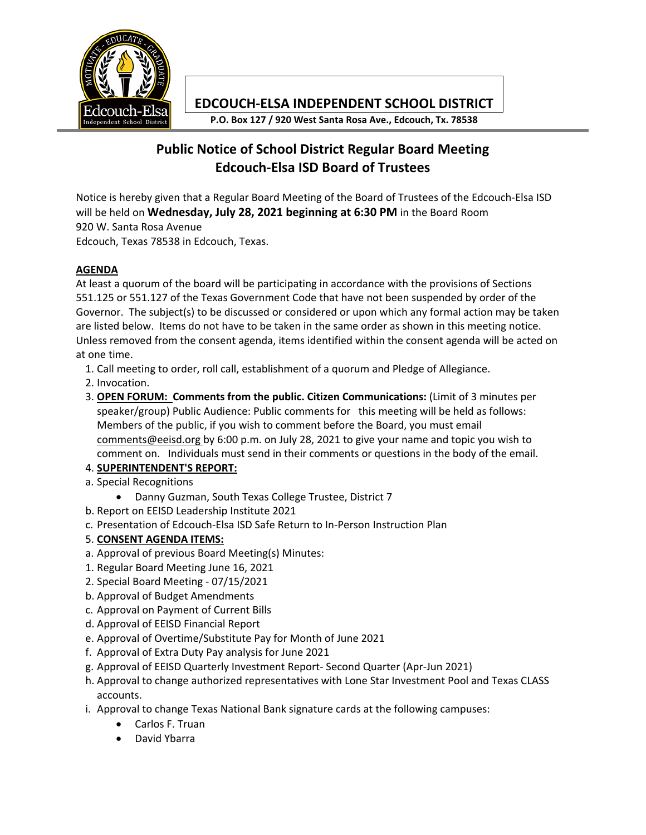

## **EDCOUCH-ELSA INDEPENDENT SCHOOL DISTRICT**

**P.O. Box 127 / 920 West Santa Rosa Ave., Edcouch, Tx. 78538**

# **Public Notice of School District Regular Board Meeting Edcouch-Elsa ISD Board of Trustees**

Notice is hereby given that a Regular Board Meeting of the Board of Trustees of the Edcouch-Elsa ISD will be held on **Wednesday, July 28, 2021 beginning at 6:30 PM** in the Board Room 920 W. Santa Rosa Avenue

Edcouch, Texas 78538 in Edcouch, Texas.

#### **AGENDA**

At least a quorum of the board will be participating in accordance with the provisions of Sections 551.125 or 551.127 of the Texas Government Code that have not been suspended by order of the Governor. The subject(s) to be discussed or considered or upon which any formal action may be taken are listed below. Items do not have to be taken in the same order as shown in this meeting notice. Unless removed from the consent agenda, items identified within the consent agenda will be acted on at one time.

- 1. Call meeting to order, roll call, establishment of a quorum and Pledge of Allegiance.
- 2. Invocation.
- 3. **OPEN FORUM: Comments from the public. Citizen Communications:** (Limit of 3 minutes per speaker/group) Public Audience: Public comments for this meeting will be held as follows: Members of the public, if you wish to comment before the Board, you must email comments@eeisd.org by 6:00 p.m. on July 28, 2021 to give your name and topic you wish to comment on. Individuals must send in their comments or questions in the body of the email.

### 4. **SUPERINTENDENT'S REPORT:**

- a. Special Recognitions
	- Danny Guzman, South Texas College Trustee, District 7
- b. Report on EEISD Leadership Institute 2021
- c. Presentation of Edcouch-Elsa ISD Safe Return to In-Person Instruction Plan
- 5. **CONSENT AGENDA ITEMS:**
- a. Approval of previous Board Meeting(s) Minutes:
- 1. Regular Board Meeting June 16, 2021
- 2. Special Board Meeting 07/15/2021
- b. Approval of Budget Amendments
- c. Approval on Payment of Current Bills
- d. Approval of EEISD Financial Report
- e. Approval of Overtime/Substitute Pay for Month of June 2021
- f. Approval of Extra Duty Pay analysis for June 2021
- g. Approval of EEISD Quarterly Investment Report- Second Quarter (Apr-Jun 2021)
- h. Approval to change authorized representatives with Lone Star Investment Pool and Texas CLASS accounts.
- i. Approval to change Texas National Bank signature cards at the following campuses:
	- Carlos F. Truan
	- David Ybarra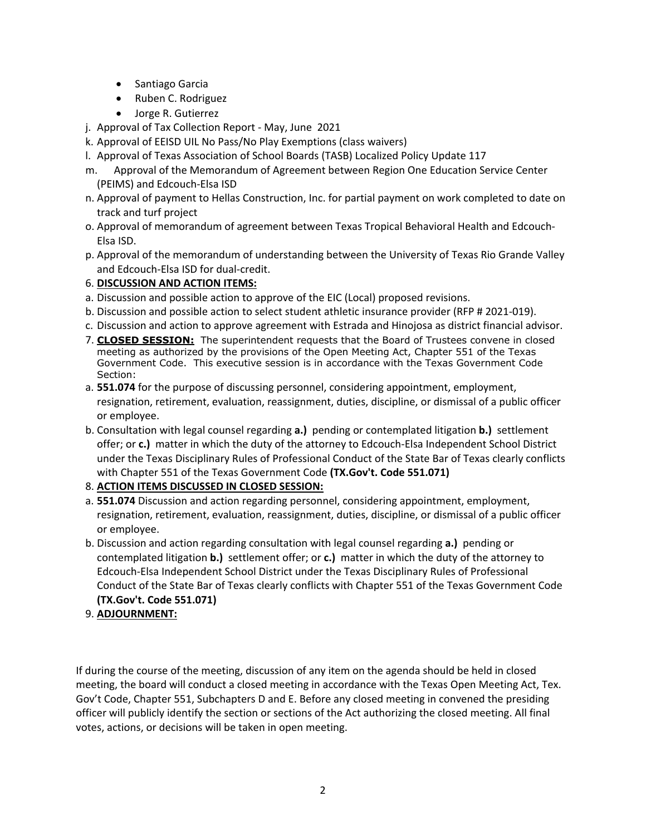- Santiago Garcia
- Ruben C. Rodriguez
- Jorge R. Gutierrez
- j. Approval of Tax Collection Report May, June 2021
- k. Approval of EEISD UIL No Pass/No Play Exemptions (class waivers)
- l. Approval of Texas Association of School Boards (TASB) Localized Policy Update 117
- m. Approval of the Memorandum of Agreement between Region One Education Service Center (PEIMS) and Edcouch-Elsa ISD
- n. Approval of payment to Hellas Construction, Inc. for partial payment on work completed to date on track and turf project
- o. Approval of memorandum of agreement between Texas Tropical Behavioral Health and Edcouch-Elsa ISD.
- p. Approval of the memorandum of understanding between the University of Texas Rio Grande Valley and Edcouch-Elsa ISD for dual-credit.

#### 6. **DISCUSSION AND ACTION ITEMS:**

- a. Discussion and possible action to approve of the EIC (Local) proposed revisions.
- b. Discussion and possible action to select student athletic insurance provider (RFP # 2021-019).
- c. Discussion and action to approve agreement with Estrada and Hinojosa as district financial advisor.
- 7. **CLOSED SESSION:** The superintendent requests that the Board of Trustees convene in closed meeting as authorized by the provisions of the Open Meeting Act, Chapter 551 of the Texas Government Code. This executive session is in accordance with the Texas Government Code Section:
- a. **551.074** for the purpose of discussing personnel, considering appointment, employment, resignation, retirement, evaluation, reassignment, duties, discipline, or dismissal of a public officer or employee.
- b. Consultation with legal counsel regarding **a.)** pending or contemplated litigation **b.)** settlement offer; or **c.)** matter in which the duty of the attorney to Edcouch-Elsa Independent School District under the Texas Disciplinary Rules of Professional Conduct of the State Bar of Texas clearly conflicts with Chapter 551 of the Texas Government Code **(TX.Gov't. Code 551.071)**

#### 8. **ACTION ITEMS DISCUSSED IN CLOSED SESSION:**

- a. **551.074** Discussion and action regarding personnel, considering appointment, employment, resignation, retirement, evaluation, reassignment, duties, discipline, or dismissal of a public officer or employee.
- b. Discussion and action regarding consultation with legal counsel regarding **a.)** pending or contemplated litigation **b.)** settlement offer; or **c.)** matter in which the duty of the attorney to Edcouch-Elsa Independent School District under the Texas Disciplinary Rules of Professional Conduct of the State Bar of Texas clearly conflicts with Chapter 551 of the Texas Government Code **(TX.Gov't. Code 551.071)**
- 9. **ADJOURNMENT:**

If during the course of the meeting, discussion of any item on the agenda should be held in closed meeting, the board will conduct a closed meeting in accordance with the Texas Open Meeting Act, Tex. Gov't Code, Chapter 551, Subchapters D and E. Before any closed meeting in convened the presiding officer will publicly identify the section or sections of the Act authorizing the closed meeting. All final votes, actions, or decisions will be taken in open meeting.